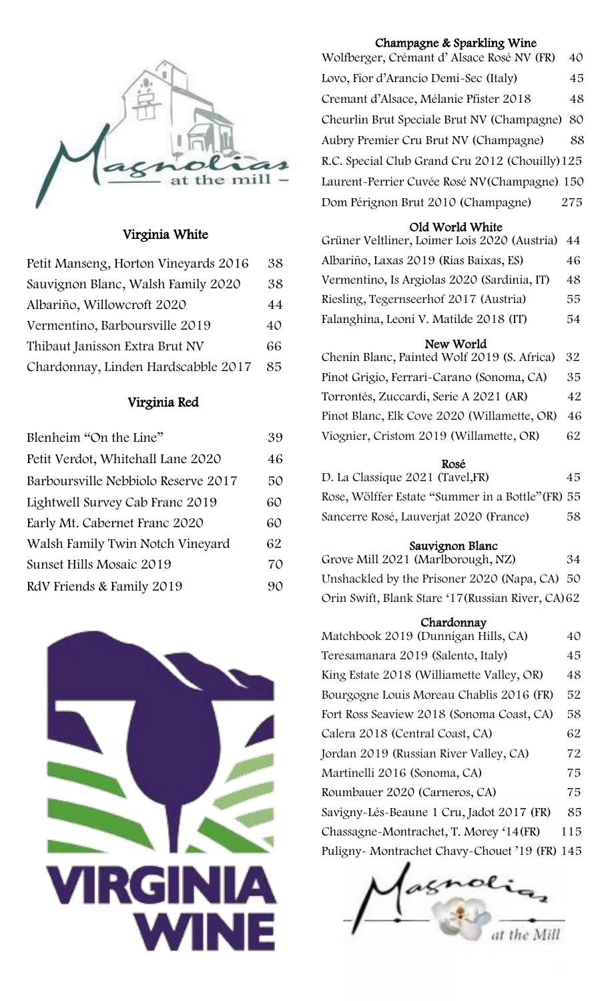

### Virginia White

| Petit Manseng, Horton Vineyards 2016 | 38 |
|--------------------------------------|----|
| Sauvignon Blanc, Walsh Family 2020   | 38 |
| Albariño, Willowcroft 2020           | 44 |
| Vermentino, Barboursville 2019       | 40 |
| Thibaut Janisson Extra Brut NV       | 66 |
| Chardonnay, Linden Hardscabble 2017  | 85 |

## Virginia Red

| Blenheim "On the Line"              | 39 |
|-------------------------------------|----|
| Petit Verdot, Whitehall Lane 2020   | 46 |
| Barboursville Nebbiolo Reserve 2017 | 50 |
| Lightwell Survey Cab Franc 2019     | 60 |
| Early Mt. Cabernet Franc 2020       | 60 |
| Walsh Family Twin Notch Vineyard    | 62 |
| Sunset Hills Mosaic 2019            | 70 |
| RdV Friends & Family 2019           | 90 |



# Champagne & Sparkling Wine

Wolfberger, Crémant d' Alsace Rosé NV (FR) 40 Lovo, Fior d'Arancio Demi-Sec (Italy) 45 Cremant d'Alsace, Mélanie Pfister 2018 48 Cheurlin Brut Speciale Brut NV (Champagne) 80 Aubry Premier Cru Brut NV (Champagne) 88 R.C. Special Club Grand Cru 2012 (Chouilly)125 Laurent-Perrier Cuvée Rosé NV(Champagne) 150 Dom Pérignon Brut 2010 (Champagne) 275

# Old World White

| Grüner Veltliner, Loimer Lois 2020 (Austria) 44 |     |
|-------------------------------------------------|-----|
| Albariño, Laxas 2019 (Rias Baixas, ES)          | 46  |
| Vermentino, Is Argiolas 2020 (Sardinia, IT)     | 48. |
| Riesling, Tegernseerhof 2017 (Austria)          | 55. |
| Falanghina, Leoni V. Matilde 2018 (IT)          | 54  |

# New World

Chenin Blanc, Painted Wolf 2019 (S. Africa) 32 Pinot Grigio, Ferrari-Carano (Sonoma, CA) 35 Torrontés, Zuccardi, Serie A 2021 (AR) 42 Pinot Blanc, Elk Cove 2020 (Willamette, OR) 46 Viognier, Cristom 2019 (Willamette, OR) 62

#### Rosé

| D. La Classique 2021 (Tavel, FR)                  | 45 |
|---------------------------------------------------|----|
| Rose, Wölffer Estate "Summer in a Bottle" (FR) 55 |    |
| Sancerre Rosé, Lauverjat 2020 (France)            | 58 |

#### Sauvignon Blanc

Grove Mill 2021 (Marlborough, NZ) 34 Unshackled by the Prisoner 2020 (Napa, CA) 50 Orin Swift, Blank Stare '17(Russian River, CA)62

# Chardonnay

| Matchbook 2019 (Dunnigan Hills, CA)          | 40  |
|----------------------------------------------|-----|
| Teresamanara 2019 (Salento, Italy)           | 45  |
| King Estate 2018 (Williamette Valley, OR)    | 48  |
| Bourgogne Louis Moreau Chablis 2016 (FR)     | 52  |
| Fort Ross Seaview 2018 (Sonoma Coast, CA)    | 58  |
| Calera 2018 (Central Coast, CA)              | 62  |
| Jordan 2019 (Russian River Valley, CA)       | 72  |
| Martinelli 2016 (Sonoma, CA)                 | 75  |
| Roumbauer 2020 (Carneros, CA)                | 75  |
| Savigny-Lés-Beaune 1 Cru, Jadot 2017 (FR)    | 85  |
| Chassagne-Montrachet, T. Morey '14 (FR)      | 115 |
| Puligny-Montrachet Chavy-Chouet '19 (FR) 145 |     |